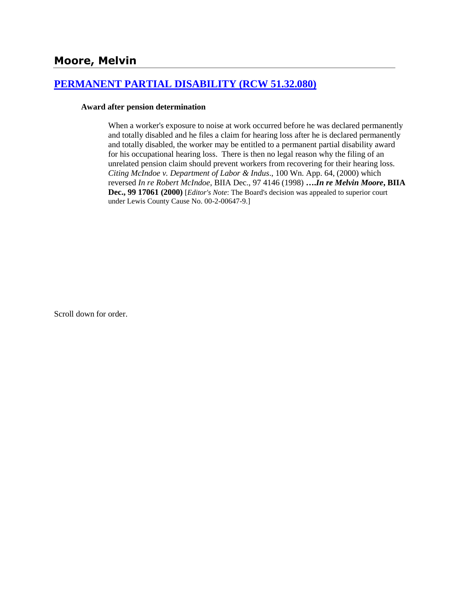# **[PERMANENT PARTIAL DISABILITY \(RCW 51.32.080\)](http://www.biia.wa.gov/SDSubjectIndex.html#PERMANENT_PARTIAL_DISABILITY)**

#### **Award after pension determination**

When a worker's exposure to noise at work occurred before he was declared permanently and totally disabled and he files a claim for hearing loss after he is declared permanently and totally disabled, the worker may be entitled to a permanent partial disability award for his occupational hearing loss. There is then no legal reason why the filing of an unrelated pension claim should prevent workers from recovering for their hearing loss. *Citing McIndoe v. Department of Labor & Indus*., 100 Wn. App. 64, (2000) which reversed *In re Robert McIndoe*, BIIA Dec., 97 4146 (1998) **….***In re Melvin Moore***, BIIA Dec., 99 17061 (2000)** [*Editor's Note*: The Board's decision was appealed to superior court under Lewis County Cause No. 00-2-00647-9.]

Scroll down for order.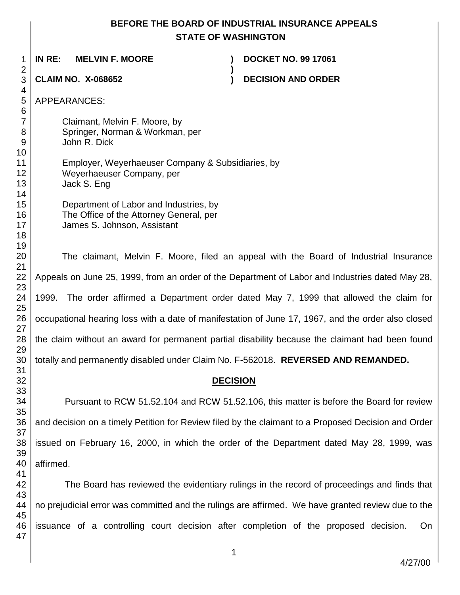# **BEFORE THE BOARD OF INDUSTRIAL INSURANCE APPEALS STATE OF WASHINGTON**

**)**

 **IN RE: MELVIN F. MOORE ) DOCKET NO. 99 17061**

**CLAIM NO. X-068652 ) DECISION AND ORDER** 

APPEARANCES:

 Claimant, Melvin F. Moore, by Springer, Norman & Workman, per John R. Dick Employer, Weyerhaeuser Company & Subsidiaries, by Weyerhaeuser Company, per Jack S. Eng

Department of Labor and Industries, by The Office of the Attorney General, per James S. Johnson, Assistant

The claimant, Melvin F. Moore, filed an appeal with the Board of Industrial Insurance Appeals on June 25, 1999, from an order of the Department of Labor and Industries dated May 28, 1999. The order affirmed a Department order dated May 7, 1999 that allowed the claim for occupational hearing loss with a date of manifestation of June 17, 1967, and the order also closed the claim without an award for permanent partial disability because the claimant had been found totally and permanently disabled under Claim No. F-562018. **REVERSED AND REMANDED.**

# **DECISION**

Pursuant to RCW 51.52.104 and RCW 51.52.106, this matter is before the Board for review and decision on a timely Petition for Review filed by the claimant to a Proposed Decision and Order issued on February 16, 2000, in which the order of the Department dated May 28, 1999, was affirmed.

 The Board has reviewed the evidentiary rulings in the record of proceedings and finds that no prejudicial error was committed and the rulings are affirmed. We have granted review due to the issuance of a controlling court decision after completion of the proposed decision. On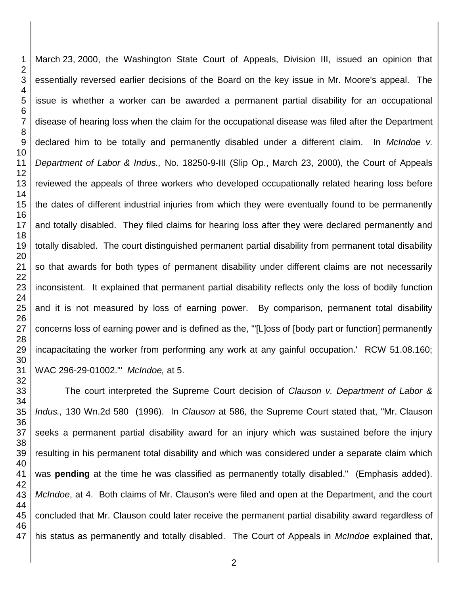March 23, 2000, the Washington State Court of Appeals, Division III, issued an opinion that essentially reversed earlier decisions of the Board on the key issue in Mr. Moore's appeal. The issue is whether a worker can be awarded a permanent partial disability for an occupational disease of hearing loss when the claim for the occupational disease was filed after the Department declared him to be totally and permanently disabled under a different claim. In *McIndoe v. Department of Labor & Indus.,* No. 18250-9-III (Slip Op., March 23, 2000), the Court of Appeals reviewed the appeals of three workers who developed occupationally related hearing loss before the dates of different industrial injuries from which they were eventually found to be permanently and totally disabled. They filed claims for hearing loss after they were declared permanently and totally disabled. The court distinguished permanent partial disability from permanent total disability so that awards for both types of permanent disability under different claims are not necessarily inconsistent. It explained that permanent partial disability reflects only the loss of bodily function and it is not measured by loss of earning power. By comparison, permanent total disability concerns loss of earning power and is defined as the, '"[L]oss of [body part or function] permanently incapacitating the worker from performing any work at any gainful occupation.' RCW 51.08.160; WAC 296-29-01002."' *McIndoe,* at 5.

The court interpreted the Supreme Court decision of *Clauson v. Department of Labor & Indus.,* 130 Wn.2d 580 (1996). In *Clauson* at 586*,* the Supreme Court stated that, "Mr. Clauson seeks a permanent partial disability award for an injury which was sustained before the injury resulting in his permanent total disability and which was considered under a separate claim which was **pending** at the time he was classified as permanently totally disabled." (Emphasis added). *McIndoe*, at 4. Both claims of Mr. Clauson's were filed and open at the Department, and the court concluded that Mr. Clauson could later receive the permanent partial disability award regardless of his status as permanently and totally disabled. The Court of Appeals in *McIndoe* explained that,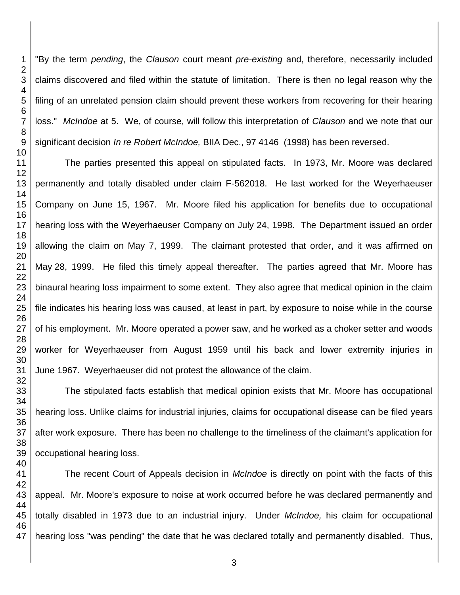"By the term *pending*, the *Clauson* court meant *pre-existing* and, therefore, necessarily included claims discovered and filed within the statute of limitation. There is then no legal reason why the filing of an unrelated pension claim should prevent these workers from recovering for their hearing loss." *McIndoe* at 5. We, of course, will follow this interpretation of *Clauson* and we note that our significant decision *In re Robert McIndoe,* BIIA Dec., 97 4146 (1998) has been reversed.

The parties presented this appeal on stipulated facts. In 1973, Mr. Moore was declared permanently and totally disabled under claim F-562018. He last worked for the Weyerhaeuser Company on June 15, 1967. Mr. Moore filed his application for benefits due to occupational hearing loss with the Weyerhaeuser Company on July 24, 1998. The Department issued an order allowing the claim on May 7, 1999. The claimant protested that order, and it was affirmed on May 28, 1999. He filed this timely appeal thereafter. The parties agreed that Mr. Moore has binaural hearing loss impairment to some extent. They also agree that medical opinion in the claim file indicates his hearing loss was caused, at least in part, by exposure to noise while in the course of his employment. Mr. Moore operated a power saw, and he worked as a choker setter and woods worker for Weyerhaeuser from August 1959 until his back and lower extremity injuries in June 1967. Weyerhaeuser did not protest the allowance of the claim.

The stipulated facts establish that medical opinion exists that Mr. Moore has occupational hearing loss. Unlike claims for industrial injuries, claims for occupational disease can be filed years after work exposure. There has been no challenge to the timeliness of the claimant's application for occupational hearing loss.

The recent Court of Appeals decision in *McIndoe* is directly on point with the facts of this appeal. Mr. Moore's exposure to noise at work occurred before he was declared permanently and totally disabled in 1973 due to an industrial injury. Under *McIndoe,* his claim for occupational hearing loss "was pending" the date that he was declared totally and permanently disabled. Thus,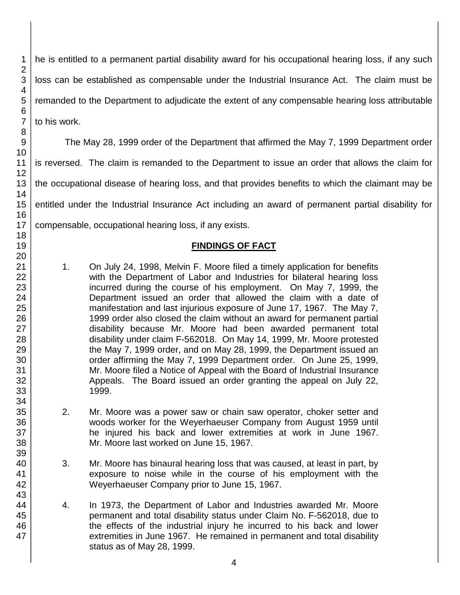he is entitled to a permanent partial disability award for his occupational hearing loss, if any such loss can be established as compensable under the Industrial Insurance Act. The claim must be remanded to the Department to adjudicate the extent of any compensable hearing loss attributable to his work.

The May 28, 1999 order of the Department that affirmed the May 7, 1999 Department order is reversed. The claim is remanded to the Department to issue an order that allows the claim for the occupational disease of hearing loss, and that provides benefits to which the claimant may be entitled under the Industrial Insurance Act including an award of permanent partial disability for compensable, occupational hearing loss, if any exists.

## **FINDINGS OF FACT**

- 1. On July 24, 1998, Melvin F. Moore filed a timely application for benefits with the Department of Labor and Industries for bilateral hearing loss incurred during the course of his employment. On May 7, 1999, the Department issued an order that allowed the claim with a date of manifestation and last injurious exposure of June 17, 1967. The May 7, 1999 order also closed the claim without an award for permanent partial disability because Mr. Moore had been awarded permanent total disability under claim F-562018. On May 14, 1999, Mr. Moore protested the May 7, 1999 order, and on May 28, 1999, the Department issued an order affirming the May 7, 1999 Department order. On June 25, 1999, Mr. Moore filed a Notice of Appeal with the Board of Industrial Insurance Appeals. The Board issued an order granting the appeal on July 22, 1999.
- 2. Mr. Moore was a power saw or chain saw operator, choker setter and woods worker for the Weyerhaeuser Company from August 1959 until he injured his back and lower extremities at work in June 1967. Mr. Moore last worked on June 15, 1967.
- 3. Mr. Moore has binaural hearing loss that was caused, at least in part, by exposure to noise while in the course of his employment with the Weyerhaeuser Company prior to June 15, 1967.
- 4. In 1973, the Department of Labor and Industries awarded Mr. Moore permanent and total disability status under Claim No. F-562018, due to the effects of the industrial injury he incurred to his back and lower extremities in June 1967. He remained in permanent and total disability status as of May 28, 1999.

4

47